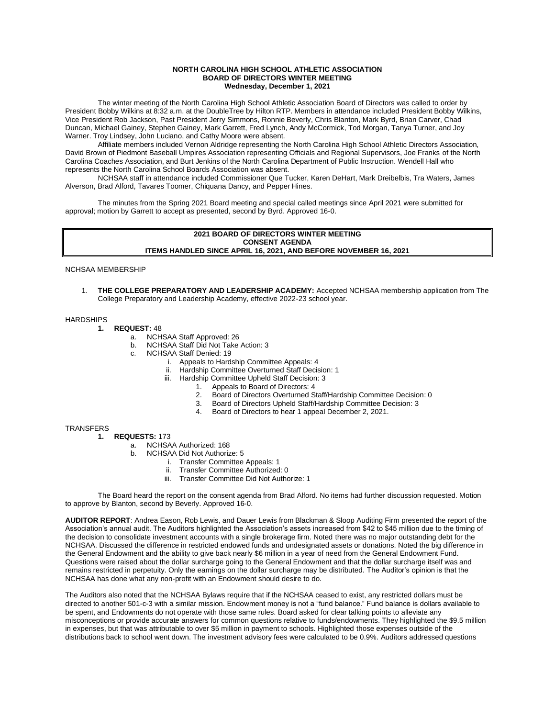## **NORTH CAROLINA HIGH SCHOOL ATHLETIC ASSOCIATION BOARD OF DIRECTORS WINTER MEETING Wednesday, December 1, 2021**

The winter meeting of the North Carolina High School Athletic Association Board of Directors was called to order by President Bobby Wilkins at 8:32 a.m. at the DoubleTree by Hilton RTP. Members in attendance included President Bobby Wilkins, Vice President Rob Jackson, Past President Jerry Simmons, Ronnie Beverly, Chris Blanton, Mark Byrd, Brian Carver, Chad Duncan, Michael Gainey, Stephen Gainey, Mark Garrett, Fred Lynch, Andy McCormick, Tod Morgan, Tanya Turner, and Joy Warner. Troy Lindsey, John Luciano, and Cathy Moore were absent.

Affiliate members included Vernon Aldridge representing the North Carolina High School Athletic Directors Association, David Brown of Piedmont Baseball Umpires Association representing Officials and Regional Supervisors, Joe Franks of the North Carolina Coaches Association, and Burt Jenkins of the North Carolina Department of Public Instruction. Wendell Hall who represents the North Carolina School Boards Association was absent.

NCHSAA staff in attendance included Commissioner Que Tucker, Karen DeHart, Mark Dreibelbis, Tra Waters, James Alverson, Brad Alford, Tavares Toomer, Chiquana Dancy, and Pepper Hines.

The minutes from the Spring 2021 Board meeting and special called meetings since April 2021 were submitted for approval; motion by Garrett to accept as presented, second by Byrd. Approved 16-0.

## **2021 BOARD OF DIRECTORS WINTER MEETING CONSENT AGENDA ITEMS HANDLED SINCE APRIL 16, 2021, AND BEFORE NOVEMBER 16, 2021**

NCHSAA MEMBERSHIP

1. **THE COLLEGE PREPARATORY AND LEADERSHIP ACADEMY:** Accepted NCHSAA membership application from The College Preparatory and Leadership Academy, effective 2022-23 school year.

## **HARDSHIPS**

- **1. REQUEST:** 48
	- a. NCHSAA Staff Approved: 26<br>b. NCHSAA Staff Did Not Take
		- b. NCHSAA Staff Did Not Take Action: 3
	- c. NCHSAA Staff Denied: 19
		- i. Appeals to Hardship Committee Appeals: 4
		- ii. Hardship Committee Overturned Staff Decision: 1
		- Hardship Committee Upheld Staff Decision: 3
			- 1. Appeals to Board of Directors: 4
			- 2. Board of Directors Overturned Staff/Hardship Committee Decision: 0
			- 3. Board of Directors Upheld Staff/Hardship Committee Decision: 3
			- 4. Board of Directors to hear 1 appeal December 2, 2021.

**TRANSFERS** 

- **1. REQUESTS:** 173
	- a. NCHSAA Authorized: 168
	- b. NCHSAA Did Not Authorize: 5
		- i. Transfer Committee Appeals: 1
		- ii. Transfer Committee Authorized: 0<br>iii. Transfer Committee Did Not Autho
		- Transfer Committee Did Not Authorize: 1

The Board heard the report on the consent agenda from Brad Alford. No items had further discussion requested. Motion to approve by Blanton, second by Beverly. Approved 16-0.

**AUDITOR REPORT**: Andrea Eason, Rob Lewis, and Dauer Lewis from Blackman & Sloop Auditing Firm presented the report of the Association's annual audit. The Auditors highlighted the Association's assets increased from \$42 to \$45 million due to the timing of the decision to consolidate investment accounts with a single brokerage firm. Noted there was no major outstanding debt for the NCHSAA. Discussed the difference in restricted endowed funds and undesignated assets or donations. Noted the big difference in the General Endowment and the ability to give back nearly \$6 million in a year of need from the General Endowment Fund. Questions were raised about the dollar surcharge going to the General Endowment and that the dollar surcharge itself was and remains restricted in perpetuity. Only the earnings on the dollar surcharge may be distributed. The Auditor's opinion is that the NCHSAA has done what any non-profit with an Endowment should desire to do.

The Auditors also noted that the NCHSAA Bylaws require that if the NCHSAA ceased to exist, any restricted dollars must be directed to another 501-c-3 with a similar mission. Endowment money is not a "fund balance." Fund balance is dollars available to be spent, and Endowments do not operate with those same rules. Board asked for clear talking points to alleviate any misconceptions or provide accurate answers for common questions relative to funds/endowments. They highlighted the \$9.5 million in expenses, but that was attributable to over \$5 million in payment to schools. Highlighted those expenses outside of the distributions back to school went down. The investment advisory fees were calculated to be 0.9%. Auditors addressed questions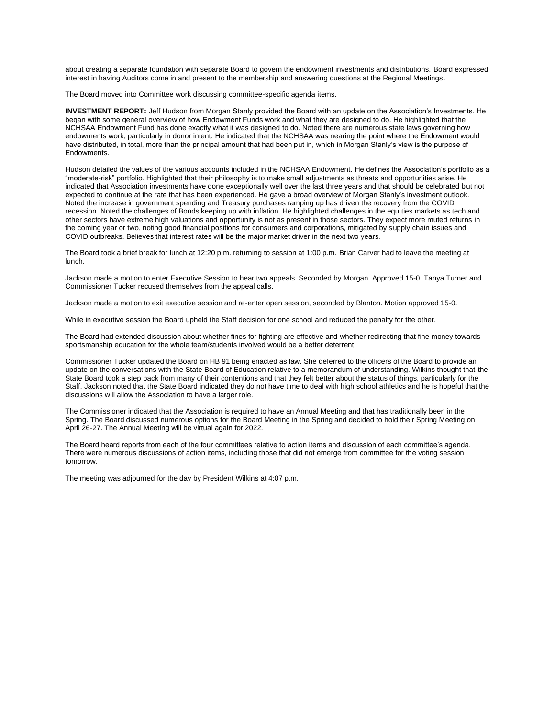about creating a separate foundation with separate Board to govern the endowment investments and distributions. Board expressed interest in having Auditors come in and present to the membership and answering questions at the Regional Meetings.

The Board moved into Committee work discussing committee-specific agenda items.

**INVESTMENT REPORT:** Jeff Hudson from Morgan Stanly provided the Board with an update on the Association's Investments. He began with some general overview of how Endowment Funds work and what they are designed to do. He highlighted that the NCHSAA Endowment Fund has done exactly what it was designed to do. Noted there are numerous state laws governing how endowments work, particularly in donor intent. He indicated that the NCHSAA was nearing the point where the Endowment would have distributed, in total, more than the principal amount that had been put in, which in Morgan Stanly's view is the purpose of Endowments.

Hudson detailed the values of the various accounts included in the NCHSAA Endowment. He defines the Association's portfolio as a "moderate-risk" portfolio. Highlighted that their philosophy is to make small adjustments as threats and opportunities arise. He indicated that Association investments have done exceptionally well over the last three years and that should be celebrated but not expected to continue at the rate that has been experienced. He gave a broad overview of Morgan Stanly's investment outlook. Noted the increase in government spending and Treasury purchases ramping up has driven the recovery from the COVID recession. Noted the challenges of Bonds keeping up with inflation. He highlighted challenges in the equities markets as tech and other sectors have extreme high valuations and opportunity is not as present in those sectors. They expect more muted returns in the coming year or two, noting good financial positions for consumers and corporations, mitigated by supply chain issues and COVID outbreaks. Believes that interest rates will be the major market driver in the next two years.

The Board took a brief break for lunch at 12:20 p.m. returning to session at 1:00 p.m. Brian Carver had to leave the meeting at lunch.

Jackson made a motion to enter Executive Session to hear two appeals. Seconded by Morgan. Approved 15-0. Tanya Turner and Commissioner Tucker recused themselves from the appeal calls.

Jackson made a motion to exit executive session and re-enter open session, seconded by Blanton. Motion approved 15-0.

While in executive session the Board upheld the Staff decision for one school and reduced the penalty for the other.

The Board had extended discussion about whether fines for fighting are effective and whether redirecting that fine money towards sportsmanship education for the whole team/students involved would be a better deterrent.

Commissioner Tucker updated the Board on HB 91 being enacted as law. She deferred to the officers of the Board to provide an update on the conversations with the State Board of Education relative to a memorandum of understanding. Wilkins thought that the State Board took a step back from many of their contentions and that they felt better about the status of things, particularly for the Staff. Jackson noted that the State Board indicated they do not have time to deal with high school athletics and he is hopeful that the discussions will allow the Association to have a larger role.

The Commissioner indicated that the Association is required to have an Annual Meeting and that has traditionally been in the Spring. The Board discussed numerous options for the Board Meeting in the Spring and decided to hold their Spring Meeting on April 26-27. The Annual Meeting will be virtual again for 2022.

The Board heard reports from each of the four committees relative to action items and discussion of each committee's agenda. There were numerous discussions of action items, including those that did not emerge from committee for the voting session tomorrow.

The meeting was adjourned for the day by President Wilkins at 4:07 p.m.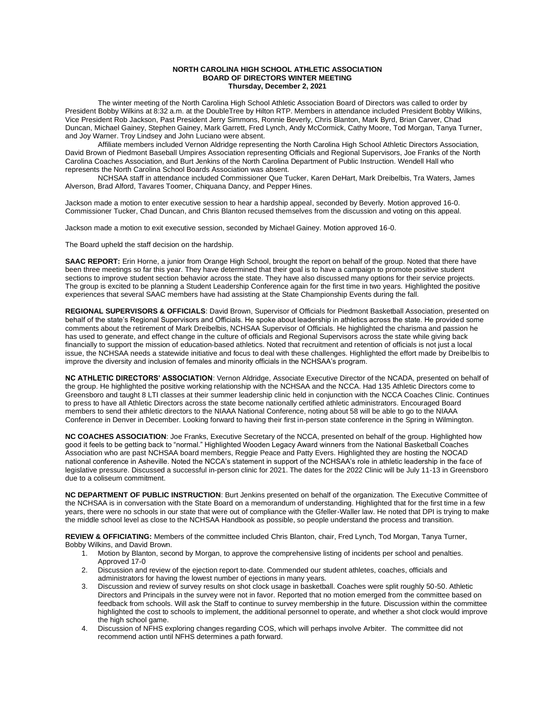## **NORTH CAROLINA HIGH SCHOOL ATHLETIC ASSOCIATION BOARD OF DIRECTORS WINTER MEETING Thursday, December 2, 2021**

The winter meeting of the North Carolina High School Athletic Association Board of Directors was called to order by President Bobby Wilkins at 8:32 a.m. at the DoubleTree by Hilton RTP. Members in attendance included President Bobby Wilkins, Vice President Rob Jackson, Past President Jerry Simmons, Ronnie Beverly, Chris Blanton, Mark Byrd, Brian Carver, Chad Duncan, Michael Gainey, Stephen Gainey, Mark Garrett, Fred Lynch, Andy McCormick, Cathy Moore, Tod Morgan, Tanya Turner, and Joy Warner. Troy Lindsey and John Luciano were absent.

Affiliate members included Vernon Aldridge representing the North Carolina High School Athletic Directors Association, David Brown of Piedmont Baseball Umpires Association representing Officials and Regional Supervisors, Joe Franks of the North Carolina Coaches Association, and Burt Jenkins of the North Carolina Department of Public Instruction. Wendell Hall who represents the North Carolina School Boards Association was absent.

NCHSAA staff in attendance included Commissioner Que Tucker, Karen DeHart, Mark Dreibelbis, Tra Waters, James Alverson, Brad Alford, Tavares Toomer, Chiquana Dancy, and Pepper Hines.

Jackson made a motion to enter executive session to hear a hardship appeal, seconded by Beverly. Motion approved 16-0. Commissioner Tucker, Chad Duncan, and Chris Blanton recused themselves from the discussion and voting on this appeal.

Jackson made a motion to exit executive session, seconded by Michael Gainey. Motion approved 16-0.

The Board upheld the staff decision on the hardship.

**SAAC REPORT:** Erin Horne, a junior from Orange High School, brought the report on behalf of the group. Noted that there have been three meetings so far this year. They have determined that their goal is to have a campaign to promote positive student sections to improve student section behavior across the state. They have also discussed many options for their service projects. The group is excited to be planning a Student Leadership Conference again for the first time in two years. Highlighted the positive experiences that several SAAC members have had assisting at the State Championship Events during the fall.

**REGIONAL SUPERVISORS & OFFICIALS**: David Brown, Supervisor of Officials for Piedmont Basketball Association, presented on behalf of the state's Regional Supervisors and Officials. He spoke about leadership in athletics across the state. He provided some comments about the retirement of Mark Dreibelbis, NCHSAA Supervisor of Officials. He highlighted the charisma and passion he has used to generate, and effect change in the culture of officials and Regional Supervisors across the state while giving back financially to support the mission of education-based athletics. Noted that recruitment and retention of officials is not just a local issue, the NCHSAA needs a statewide initiative and focus to deal with these challenges. Highlighted the effort made by Dreibelbis to improve the diversity and inclusion of females and minority officials in the NCHSAA's program.

**NC ATHLETIC DIRECTORS' ASSOCIATION**: Vernon Aldridge, Associate Executive Director of the NCADA, presented on behalf of the group. He highlighted the positive working relationship with the NCHSAA and the NCCA. Had 135 Athletic Directors come to Greensboro and taught 8 LTI classes at their summer leadership clinic held in conjunction with the NCCA Coaches Clinic. Continues to press to have all Athletic Directors across the state become nationally certified athletic administrators. Encouraged Board members to send their athletic directors to the NIAAA National Conference, noting about 58 will be able to go to the NIAAA Conference in Denver in December. Looking forward to having their first in-person state conference in the Spring in Wilmington.

**NC COACHES ASSOCIATION**: Joe Franks, Executive Secretary of the NCCA, presented on behalf of the group. Highlighted how good it feels to be getting back to "normal." Highlighted Wooden Legacy Award winners from the National Basketball Coaches Association who are past NCHSAA board members, Reggie Peace and Patty Evers. Highlighted they are hosting the NOCAD national conference in Asheville. Noted the NCCA's statement in support of the NCHSAA's role in athletic leadership in the face of legislative pressure. Discussed a successful in-person clinic for 2021. The dates for the 2022 Clinic will be July 11-13 in Greensboro due to a coliseum commitment.

**NC DEPARTMENT OF PUBLIC INSTRUCTION**: Burt Jenkins presented on behalf of the organization. The Executive Committee of the NCHSAA is in conversation with the State Board on a memorandum of understanding. Highlighted that for the first time in a few years, there were no schools in our state that were out of compliance with the Gfeller-Waller law. He noted that DPI is trying to make the middle school level as close to the NCHSAA Handbook as possible, so people understand the process and transition.

**REVIEW & OFFICIATING:** Members of the committee included Chris Blanton, chair, Fred Lynch, Tod Morgan, Tanya Turner, Bobby Wilkins, and David Brown.

- 1. Motion by Blanton, second by Morgan, to approve the comprehensive listing of incidents per school and penalties. Approved 17-0
- 2. Discussion and review of the ejection report to-date. Commended our student athletes, coaches, officials and administrators for having the lowest number of ejections in many years.
- 3. Discussion and review of survey results on shot clock usage in basketball. Coaches were split roughly 50-50. Athletic Directors and Principals in the survey were not in favor. Reported that no motion emerged from the committee based on feedback from schools. Will ask the Staff to continue to survey membership in the future. Discussion within the committee highlighted the cost to schools to implement, the additional personnel to operate, and whether a shot clock would improve the high school game.
- 4. Discussion of NFHS exploring changes regarding COS, which will perhaps involve Arbiter. The committee did not recommend action until NFHS determines a path forward.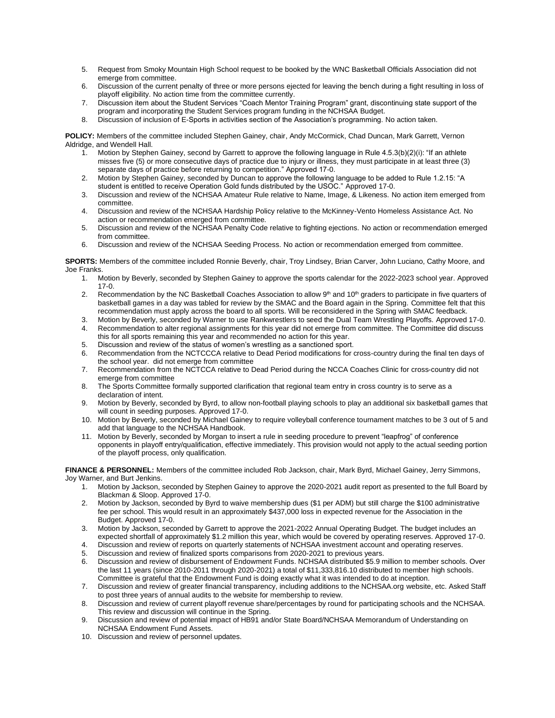- 5. Request from Smoky Mountain High School request to be booked by the WNC Basketball Officials Association did not emerge from committee.
- 6. Discussion of the current penalty of three or more persons ejected for leaving the bench during a fight resulting in loss of playoff eligibility. No action time from the committee currently.
- 7. Discussion item about the Student Services "Coach Mentor Training Program" grant, discontinuing state support of the program and incorporating the Student Services program funding in the NCHSAA Budget.
- 8. Discussion of inclusion of E-Sports in activities section of the Association's programming. No action taken.

**POLICY:** Members of the committee included Stephen Gainey, chair, Andy McCormick, Chad Duncan, Mark Garrett, Vernon Aldridge, and Wendell Hall.

- 1. Motion by Stephen Gainey, second by Garrett to approve the following language in Rule 4.5.3(b)(2)(i): "If an athlete misses five (5) or more consecutive days of practice due to injury or illness, they must participate in at least three (3) separate days of practice before returning to competition." Approved 17-0.
- 2. Motion by Stephen Gainey, seconded by Duncan to approve the following language to be added to Rule 1.2.15: "A student is entitled to receive Operation Gold funds distributed by the USOC." Approved 17-0.
- 3. Discussion and review of the NCHSAA Amateur Rule relative to Name, Image, & Likeness. No action item emerged from committee.
- 4. Discussion and review of the NCHSAA Hardship Policy relative to the McKinney-Vento Homeless Assistance Act. No action or recommendation emerged from committee.
- 5. Discussion and review of the NCHSAA Penalty Code relative to fighting ejections. No action or recommendation emerged from committee.
- 6. Discussion and review of the NCHSAA Seeding Process. No action or recommendation emerged from committee.

**SPORTS:** Members of the committee included Ronnie Beverly, chair, Troy Lindsey, Brian Carver, John Luciano, Cathy Moore, and Joe Franks.

- 1. Motion by Beverly, seconded by Stephen Gainey to approve the sports calendar for the 2022-2023 school year. Approved 17-0.
- 2. Recommendation by the NC Basketball Coaches Association to allow  $9<sup>th</sup>$  and  $10<sup>th</sup>$  graders to participate in five quarters of basketball games in a day was tabled for review by the SMAC and the Board again in the Spring. Committee felt that this recommendation must apply across the board to all sports. Will be reconsidered in the Spring with SMAC feedback.
- 3. Motion by Beverly, seconded by Warner to use Rankwrestlers to seed the Dual Team Wrestling Playoffs. Approved 17-0.<br>4. Recommendation to alter regional assignments for this year did not emerge from committee. The Commit Recommendation to alter regional assignments for this year did not emerge from committee. The Committee did discuss this for all sports remaining this year and recommended no action for this year.
- 5. Discussion and review of the status of women's wrestling as a sanctioned sport.
- 6. Recommendation from the NCTCCCA relative to Dead Period modifications for cross-country during the final ten days of the school year. did not emerge from committee
- 7. Recommendation from the NCTCCA relative to Dead Period during the NCCA Coaches Clinic for cross-country did not emerge from committee
- 8. The Sports Committee formally supported clarification that regional team entry in cross country is to serve as a declaration of intent.
- 9. Motion by Beverly, seconded by Byrd, to allow non-football playing schools to play an additional six basketball games that will count in seeding purposes. Approved 17-0.
- 10. Motion by Beverly, seconded by Michael Gainey to require volleyball conference tournament matches to be 3 out of 5 and add that language to the NCHSAA Handbook.
- 11. Motion by Beverly, seconded by Morgan to insert a rule in seeding procedure to prevent "leapfrog" of conference opponents in playoff entry/qualification, effective immediately. This provision would not apply to the actual seeding portion of the playoff process, only qualification.

**FINANCE & PERSONNEL:** Members of the committee included Rob Jackson, chair, Mark Byrd, Michael Gainey, Jerry Simmons, Joy Warner, and Burt Jenkins.

- 1. Motion by Jackson, seconded by Stephen Gainey to approve the 2020-2021 audit report as presented to the full Board by Blackman & Sloop. Approved 17-0.
- 2. Motion by Jackson, seconded by Byrd to waive membership dues (\$1 per ADM) but still charge the \$100 administrative fee per school. This would result in an approximately \$437,000 loss in expected revenue for the Association in the Budget. Approved 17-0.
- 3. Motion by Jackson, seconded by Garrett to approve the 2021-2022 Annual Operating Budget. The budget includes an expected shortfall of approximately \$1.2 million this year, which would be covered by operating reserves. Approved 17-0.
- 4. Discussion and review of reports on quarterly statements of NCHSAA investment account and operating reserves.
- 5. Discussion and review of finalized sports comparisons from 2020-2021 to previous years.
- 6. Discussion and review of disbursement of Endowment Funds. NCHSAA distributed \$5.9 million to member schools. Over the last 11 years (since 2010-2011 through 2020-2021) a total of \$11,333,816.10 distributed to member high schools. Committee is grateful that the Endowment Fund is doing exactly what it was intended to do at inception.
- 7. Discussion and review of greater financial transparency, including additions to the NCHSAA.org website, etc. Asked Staff to post three years of annual audits to the website for membership to review.
- 8. Discussion and review of current playoff revenue share/percentages by round for participating schools and the NCHSAA. This review and discussion will continue in the Spring.
- 9. Discussion and review of potential impact of HB91 and/or State Board/NCHSAA Memorandum of Understanding on NCHSAA Endowment Fund Assets.
- 10. Discussion and review of personnel updates.